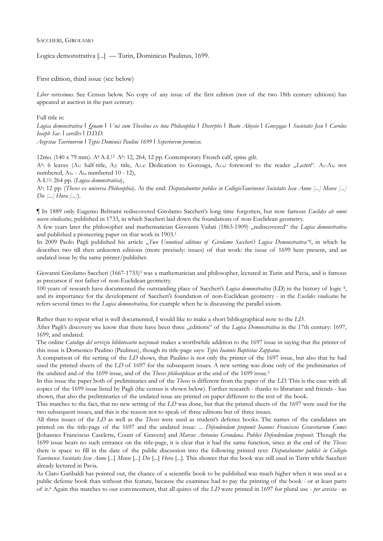## SACCHERI, GIROLAMO

Logica demonstrativa [...] — Turin, Dominicus Paulinus, 1699.

First edition, third issue (see below)

*Liber rarissimus.* See Census below. No copy of any issue of the first edition (nor of the two 18th century editions) has appeared at auction in the past century.

Full title is:

*Logica demonstrativa* ❘ *Quam* ❘ *Vnà cum Thesibus ex tota Philosophia* ❘ *Decerptis* ❘ *Beato Aloysio* ❘ *Gonzagae* ❘ *Societatis Jesu* ❘ *Carolus Ioseph Sac-* ❘ *carellvs* ❘ *D.D.D.* 

*Avgvstae Tavrinorvm* ❘ *Typis Dominici Paulini 1699* ❘ *Svperiorvm permissv.*

12mo. (140 x 79 mm). A6 A-L12 A6: 12, 264, 12 pp. Contemporary French calf, spine gilt. A6: 6 leaves (A1: half-title, A2: title, A3-4: Dedication to Gonzaga, A5-6: foreword to the reader "*Lectori*". A1-A5r not numbered,  $A_{5v}$  -  $A_{6v}$  numbered 10 - 12),

A-L12: 264 pp. (*Logica demonstrativa*),

A6: 12 pp. (*Theses ex universa Philosophia*). At the end: *Disputabuntur publice in CollegioTaurinensi Societatis Iesu Anno [...] Mense [...] Die [...] Hora [...]*).

¶ In 1889 only Eugenio Beltrami rediscovered Girolamo Saccheri's long time forgotten, but now famous *Euclides ab omni naevo vindicatus*, published in 1733, in which Saccheri laid down the foundations of non-Euclidean geometry.

A few years later the philosopher and mathematician Giovanni Vailati (1863-1909) "rediscovered" the *Logica demonstrativa* and published a pioneering paper on that work in 1903.1

In 2009 Paolo Pagli published his article "Two Unnoticed editions of Girolamo Saccheri's Logica Demonstrativa<sup>42</sup>, in which he describes two till then unknown editions (more precisely: issues) of that work: the issue of 1699 here present, and an undated issue by the same printer/publisher.

Giovanni Girolamo Saccheri (1667-1733)3 was a mathematician and philosopher, lectured in Turin and Pavia, and is famous as precursor if not father of non-Euclidean geometry.

100 years of research have documented the outstanding place of Saccheri's *Logica demonstrativa* (LD) in the history of logic 4, and its importance for the development of Saccheri's foundation of non-Euclidean geometry - in the *Euclides vindicatus* he refers several times to the *Logica demonstrativa*, for example when he is discussing the parallel axiom.

Rather than to repeat what is well documented, I would like to make a short bibliographical note to the *LD*.

After Pagli's discovery we know that there have been three "editions" of the *Logica Demonstrativa* in the 17th century: 1697, 1699, and undated.

The online *Catalogo del servizio bibliotecario nazionale* makes a worthwhile addition to the 1697 issue in saying that the printer of this issue is Domenico Paulino (Paulinus), though its title-page says: *Typis Ioannis Baptistae Zappatae*.

A comparison of the setting of the *LD* shows, that Paulino is not only the printer of the 1697 issue, but also that he had used the printed sheets of the *LD* of 1697 for the subsequent issues. A new setting was done only of the preliminaries of the undated and of the 1699 issue, and of the *Theses philosophicae* at the end of the 1699 issue.5

In this issue the paper both of preliminaries and of the *Theses* is different from the paper of the *LD.* This is the case with all copies of the 1699 issue listed by Pagli (the census is shown below). Further research - thanks to librarians and friends - has shown, that also the preliminaries of the undated issue are printed on paper different to the rest of the book.

This matches to the fact, that no new setting of the *LD* was done, but that the printed sheets of the 1697 were used for the two subsequent issues, and this is the reason not to speak of three editions but of three issues.

All three issues of the *LD* as well as the *Theses* were used as student's defence books. The names of the candidates are printed on the title-page of the 1697 and the undated issue: ... *Defendendam proponit Ioannes Franciscus Graveriarum Comes* [Johannes Franciscus Caselette, Count of Gravere] and *Marcus Antonius Grondana*. *Publicè Defendendam proponit*. Though the 1699 issue bears no such entrance on the title-page, it is clear that it had the same function, since at the end of the *Theses* there is space to fill in the date of the public discussion into the following printed text: *Disputabuntur publicè in Collegio Taurinensi Societatis Iesu Anno* [*...*] *Mense* [*...*] *Die* [...] *Hora* [...]. This showes that the book was still used in Turin while Saccheri already lectured in Pavia.

As Claro Garibaldi has pointed out, the chance of a scientific book to be published was much higher when it was used as a public defense book than without this feature, because the examinee had to pay the printing of the book - or at least parts of it.6 Again this matches to our convincement, that all quires of the *LD* were printed in 1697 for plural use - *per avvista -* as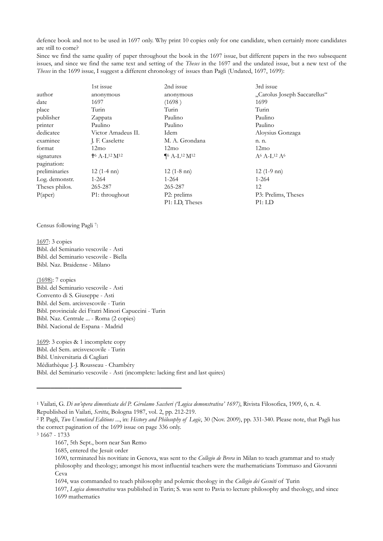defence book and not to be used in 1697 only. Why print 10 copies only for one candidate, when certainly more candidates are still to come?

Since we find the same quality of paper throughout the book in the 1697 issue, but different papers in the two subsequent issues, and since we find the same text and setting of the *Theses* in the 1697 and the undated issue, but a new text of the *Theses* in the 1699 issue, I suggest a different chronology of issues than Pagli (Undated, 1697, 1699):

|                | 1st issue                                          | 2nd issue                                | 3rd issue                    |
|----------------|----------------------------------------------------|------------------------------------------|------------------------------|
| author         | anonymous                                          | anonymous                                | "Carolus Joseph Saccarellus" |
| date           | 1697                                               | (1698)                                   | 1699                         |
| place          | Turin                                              | Turin                                    | Turin                        |
| publisher      | Zappata                                            | Paulino                                  | Paulino                      |
| printer        | Paulino                                            | Paulino                                  | Paulino                      |
| dedicatee      | Victor Amadeus II.                                 | Idem                                     | Aloysius Gonzaga             |
| examinee       | J. F. Caselette                                    | M. A. Grondana                           | n. n.                        |
| format         | 12mo                                               | 12mo                                     | 12mo                         |
| signatures     | $+$ <sup>6</sup> A-L <sup>12</sup> M <sup>12</sup> | $\P^6$ A-L <sup>12</sup> M <sup>12</sup> | $A^6A - L^{12}A^6$           |
| pagination:    |                                                    |                                          |                              |
| preliminaries  | $12(1-4 \text{nn})$                                | $12(1-8 \text{nn})$                      | $12(1-9 \text{nn})$          |
| Log. demonstr. | $1 - 264$                                          | $1 - 264$                                | $1 - 264$                    |
| Theses philos. | 265-287                                            | 265-287                                  | 12                           |
| P(aper)        | P1: throughout                                     | P2: prelims                              | P3: Prelims, Theses          |
|                |                                                    | P1: LD, Theses                           | P1:LD                        |

Census following Pagli 7:

1697: 3 copies Bibl. del Seminario vescovile - Asti Bibl. del Seminario vescovile - Biella Bibl. Naz. Braidense - Milano

(1698): 7 copies Bibl. del Seminario vescovile - Asti Convento di S. Giuseppe - Asti Bibl. del Sem. arcisvescovile - Turin Bibl. provinciale dei Fratri Minori Capuccini - Turin Bibl. Naz. Centrale ... - Roma (2 copies) Bibl. Nacional de Espana - Madrid

1699: 3 copies & 1 incomplete copy Bibl. del Sem. arcisvescovile - Turin Bibl. Universitaria di Cagliari Médiathèque J.-J. Rousseau - Chambéry Bibl. del Seminario vescovile - Asti (incomplete: lacking first and last quires)

3 1667 - 1733

**–––––––––––––––––––––——————————** 

1694, was commanded to teach philosophy and polemic theology in the *Collegio dei Gesuiti* of Turin

 1697, *Logica demonstrativa* was published in Turin; S. was sent to Pavia to lecture philosophy and theology, and since 1699 mathematics

<sup>1</sup> Vailati, G. *Di un'opera dimenticata del P. Girolamo Saccheri ('Logica demonstrativa' 1697)*, Rivista Filosofica, 1909, 6, n. 4. Republished in Vailati, *Scritta*, Bologna 1987, vol. 2, pp. 212-219.<br><sup>2</sup> P. Pagli, *Two Unnoticed Editions* ..., in: *History and Philosophy of Logic*, 30 (Nov. 2009), pp. 331-340. Please note, that Pagli has

the correct pagination of the 1699 issue on page 336 only.

 <sup>1667, 5</sup>th Sept., born near San Remo

 <sup>1685,</sup> entered the Jesuit order

 <sup>1690,</sup> terminated his novitiate in Genova, was sent to the *Collegio de Brera* in Milan to teach grammar and to study philosophy and theology; amongst his most influential teachers were the mathematicians Tommaso and Giovanni Ceva